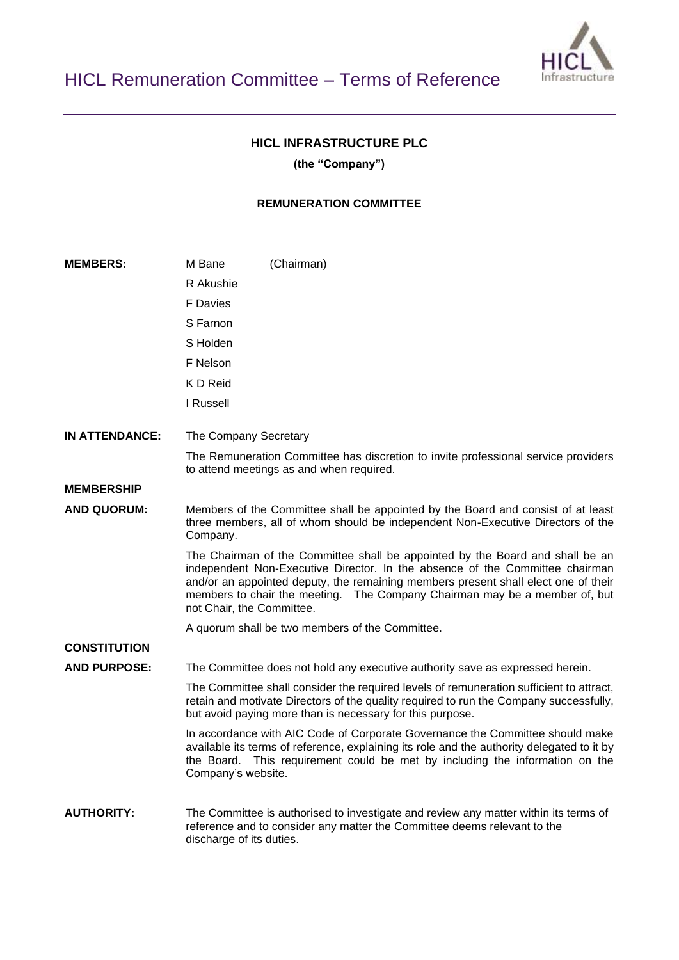

# **HICL INFRASTRUCTURE PLC**

**(the "Company")**

### **REMUNERATION COMMITTEE**

| <b>MEMBERS:</b>       | M Bane                                                                                                                                                                          | (Chairman)                                                                                                                                                                                                                                                                                                                        |
|-----------------------|---------------------------------------------------------------------------------------------------------------------------------------------------------------------------------|-----------------------------------------------------------------------------------------------------------------------------------------------------------------------------------------------------------------------------------------------------------------------------------------------------------------------------------|
|                       | R Akushie                                                                                                                                                                       |                                                                                                                                                                                                                                                                                                                                   |
|                       | F Davies                                                                                                                                                                        |                                                                                                                                                                                                                                                                                                                                   |
|                       | S Farnon                                                                                                                                                                        |                                                                                                                                                                                                                                                                                                                                   |
|                       | S Holden                                                                                                                                                                        |                                                                                                                                                                                                                                                                                                                                   |
|                       | F Nelson                                                                                                                                                                        |                                                                                                                                                                                                                                                                                                                                   |
|                       | K D Reid                                                                                                                                                                        |                                                                                                                                                                                                                                                                                                                                   |
|                       | I Russell                                                                                                                                                                       |                                                                                                                                                                                                                                                                                                                                   |
| <b>IN ATTENDANCE:</b> | The Company Secretary                                                                                                                                                           |                                                                                                                                                                                                                                                                                                                                   |
|                       |                                                                                                                                                                                 | The Remuneration Committee has discretion to invite professional service providers<br>to attend meetings as and when required.                                                                                                                                                                                                    |
| <b>MEMBERSHIP</b>     |                                                                                                                                                                                 |                                                                                                                                                                                                                                                                                                                                   |
| <b>AND QUORUM:</b>    | Members of the Committee shall be appointed by the Board and consist of at least<br>three members, all of whom should be independent Non-Executive Directors of the<br>Company. |                                                                                                                                                                                                                                                                                                                                   |
|                       | not Chair, the Committee.                                                                                                                                                       | The Chairman of the Committee shall be appointed by the Board and shall be an<br>independent Non-Executive Director. In the absence of the Committee chairman<br>and/or an appointed deputy, the remaining members present shall elect one of their<br>members to chair the meeting. The Company Chairman may be a member of, but |
|                       |                                                                                                                                                                                 | A quorum shall be two members of the Committee.                                                                                                                                                                                                                                                                                   |
| <b>CONSTITUTION</b>   |                                                                                                                                                                                 |                                                                                                                                                                                                                                                                                                                                   |
| <b>AND PURPOSE:</b>   |                                                                                                                                                                                 | The Committee does not hold any executive authority save as expressed herein.                                                                                                                                                                                                                                                     |
|                       |                                                                                                                                                                                 | The Committee shall consider the required levels of remuneration sufficient to attract,<br>retain and motivate Directors of the quality required to run the Company successfully,<br>but avoid paying more than is necessary for this purpose.                                                                                    |
|                       | Company's website.                                                                                                                                                              | In accordance with AIC Code of Corporate Governance the Committee should make<br>available its terms of reference, explaining its role and the authority delegated to it by<br>the Board. This requirement could be met by including the information on the                                                                       |
| <b>AUTHORITY:</b>     | discharge of its duties.                                                                                                                                                        | The Committee is authorised to investigate and review any matter within its terms of<br>reference and to consider any matter the Committee deems relevant to the                                                                                                                                                                  |